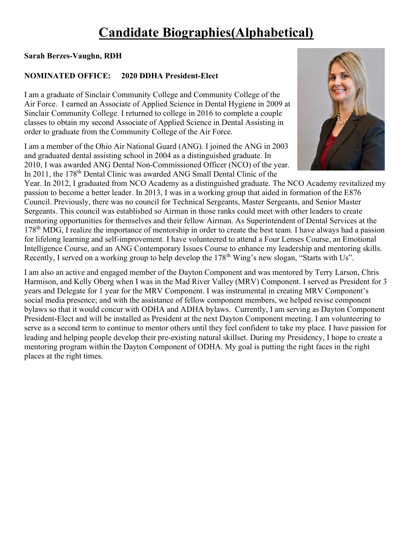# Candidate Biographies(Alphabetical)

# Sarah Berzes-Vaughn, RDH

# NOMINATED OFFICE: 2020 DDHA President-Elect

I am a graduate of Sinclair Community College and Community College of the Air Force. I earned an Associate of Applied Science in Dental Hygiene in 2009 at Sinclair Community College. I returned to college in 2016 to complete a couple classes to obtain my second Associate of Applied Science in Dental Assisting in order to graduate from the Community College of the Air Force.

I am a member of the Ohio Air National Guard (ANG). I joined the ANG in 2003 and graduated dental assisting school in 2004 as a distinguished graduate. In 2010, I was awarded ANG Dental Non-Commissioned Officer (NCO) of the year. In 2011, the 178<sup>th</sup> Dental Clinic was awarded ANG Small Dental Clinic of the



Year. In 2012, I graduated from NCO Academy as a distinguished graduate. The NCO Academy revitalized my passion to become a better leader. In 2013, I was in a working group that aided in formation of the E876 Council. Previously, there was no council for Technical Sergeants, Master Sergeants, and Senior Master Sergeants. This council was established so Airman in those ranks could meet with other leaders to create mentoring opportunities for themselves and their fellow Airman. As Superintendent of Dental Services at the 178<sup>th</sup> MDG, I realize the importance of mentorship in order to create the best team. I have always had a passion for lifelong learning and self-improvement. I have volunteered to attend a Four Lenses Course, an Emotional Intelligence Course, and an ANG Contemporary Issues Course to enhance my leadership and mentoring skills. Recently, I served on a working group to help develop the 178<sup>th</sup> Wing's new slogan, "Starts with Us".

I am also an active and engaged member of the Dayton Component and was mentored by Terry Larson, Chris Harmison, and Kelly Oberg when I was in the Mad River Valley (MRV) Component. I served as President for 3 years and Delegate for 1 year for the MRV Component. I was instrumental in creating MRV Component's social media presence; and with the assistance of fellow component members, we helped revise component bylaws so that it would concur with ODHA and ADHA bylaws. Currently, I am serving as Dayton Component President-Elect and will be installed as President at the next Dayton Component meeting. I am volunteering to serve as a second term to continue to mentor others until they feel confident to take my place. I have passion for leading and helping people develop their pre-existing natural skillset. During my Presidency, I hope to create a mentoring program within the Dayton Component of ODHA. My goal is putting the right faces in the right places at the right times.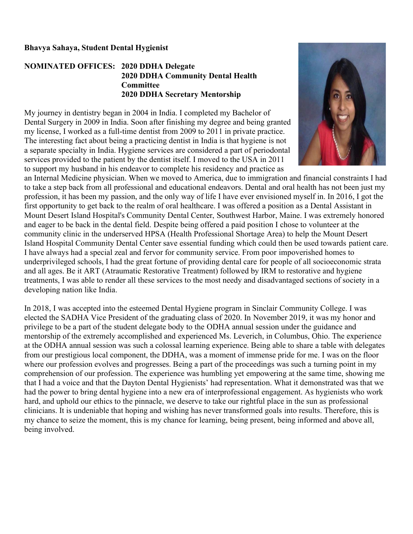#### Bhavya Sahaya, Student Dental Hygienist

### NOMINATED OFFICES: 2020 DDHA Delegate 2020 DDHA Community Dental Health Committee 2020 DDHA Secretary Mentorship

My journey in dentistry began in 2004 in India. I completed my Bachelor of Dental Surgery in 2009 in India. Soon after finishing my degree and being granted my license, I worked as a full-time dentist from 2009 to 2011 in private practice. The interesting fact about being a practicing dentist in India is that hygiene is not a separate specialty in India. Hygiene services are considered a part of periodontal services provided to the patient by the dentist itself. I moved to the USA in 2011 to support my husband in his endeavor to complete his residency and practice as



an Internal Medicine physician. When we moved to America, due to immigration and financial constraints I had to take a step back from all professional and educational endeavors. Dental and oral health has not been just my profession, it has been my passion, and the only way of life I have ever envisioned myself in. In 2016, I got the first opportunity to get back to the realm of oral healthcare. I was offered a position as a Dental Assistant in Mount Desert Island Hospital's Community Dental Center, Southwest Harbor, Maine. I was extremely honored and eager to be back in the dental field. Despite being offered a paid position I chose to volunteer at the community clinic in the underserved HPSA (Health Professional Shortage Area) to help the Mount Desert Island Hospital Community Dental Center save essential funding which could then be used towards patient care. I have always had a special zeal and fervor for community service. From poor impoverished homes to underprivileged schools, I had the great fortune of providing dental care for people of all socioeconomic strata and all ages. Be it ART (Atraumatic Restorative Treatment) followed by IRM to restorative and hygiene treatments, I was able to render all these services to the most needy and disadvantaged sections of society in a developing nation like India.

In 2018, I was accepted into the esteemed Dental Hygiene program in Sinclair Community College. I was elected the SADHA Vice President of the graduating class of 2020. In November 2019, it was my honor and privilege to be a part of the student delegate body to the ODHA annual session under the guidance and mentorship of the extremely accomplished and experienced Ms. Leverich, in Columbus, Ohio. The experience at the ODHA annual session was such a colossal learning experience. Being able to share a table with delegates from our prestigious local component, the DDHA, was a moment of immense pride for me. I was on the floor where our profession evolves and progresses. Being a part of the proceedings was such a turning point in my comprehension of our profession. The experience was humbling yet empowering at the same time, showing me that I had a voice and that the Dayton Dental Hygienists' had representation. What it demonstrated was that we had the power to bring dental hygiene into a new era of interprofessional engagement. As hygienists who work hard, and uphold our ethics to the pinnacle, we deserve to take our rightful place in the sun as professional clinicians. It is undeniable that hoping and wishing has never transformed goals into results. Therefore, this is my chance to seize the moment, this is my chance for learning, being present, being informed and above all, being involved.